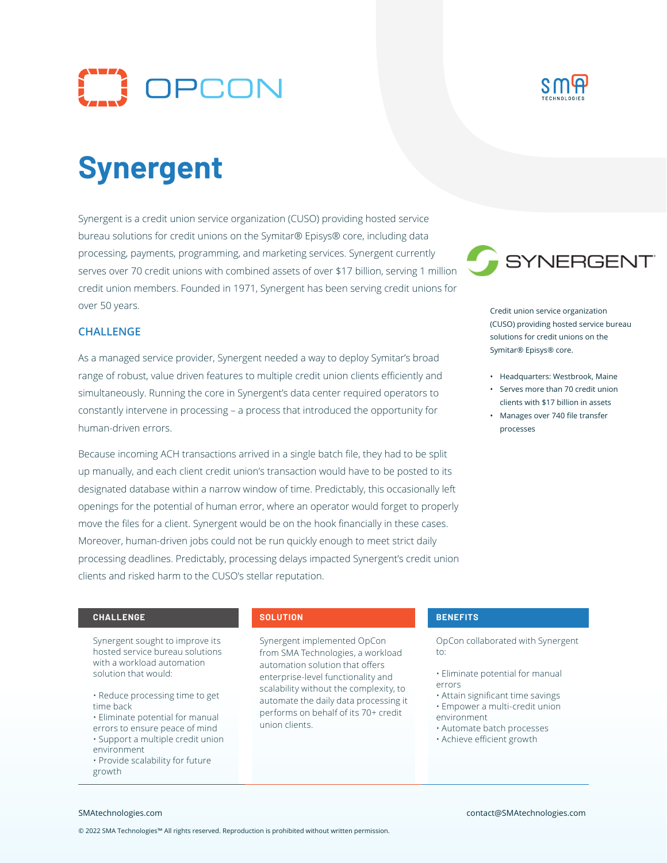



# **Synergent**

Synergent is a credit union service organization (CUSO) providing hosted service bureau solutions for credit unions on the Symitar® Episys® core, including data processing, payments, programming, and marketing services. Synergent currently serves over 70 credit unions with combined assets of over \$17 billion, serving 1 million credit union members. Founded in 1971, Synergent has been serving credit unions for over 50 years.

### **CHALLENGE**

As a managed service provider, Synergent needed a way to deploy Symitar's broad range of robust, value driven features to multiple credit union clients efficiently and simultaneously. Running the core in Synergent's data center required operators to constantly intervene in processing – a process that introduced the opportunity for human-driven errors.

Because incoming ACH transactions arrived in a single batch file, they had to be split up manually, and each client credit union's transaction would have to be posted to its designated database within a narrow window of time. Predictably, this occasionally left openings for the potential of human error, where an operator would forget to properly move the files for a client. Synergent would be on the hook financially in these cases. Moreover, human-driven jobs could not be run quickly enough to meet strict daily processing deadlines. Predictably, processing delays impacted Synergent's credit union clients and risked harm to the CUSO's stellar reputation.



Credit union service organization (CUSO) providing hosted service bureau solutions for credit unions on the Symitar® Episys® core.

- Headquarters: Westbrook, Maine
- Serves more than 70 credit union clients with \$17 billion in assets
- Manages over 740 file transfer processes

### **CHALLENGE SOLUTION BENEFITS**

Synergent sought to improve its hosted service bureau solutions with a workload automation solution that would:

- Reduce processing time to get time back
- Eliminate potential for manual errors to ensure peace of mind • Support a multiple credit union environment
- Provide scalability for future growth

Synergent implemented OpCon from SMA Technologies, a workload automation solution that offers enterprise-level functionality and scalability without the complexity, to automate the daily data processing it performs on behalf of its 70+ credit union clients.

OpCon collaborated with Synergent to:

- Eliminate potential for manual errors
- Attain significant time savings • Empower a multi-credit union
- environment
- Automate batch processes
- Achieve efficient growth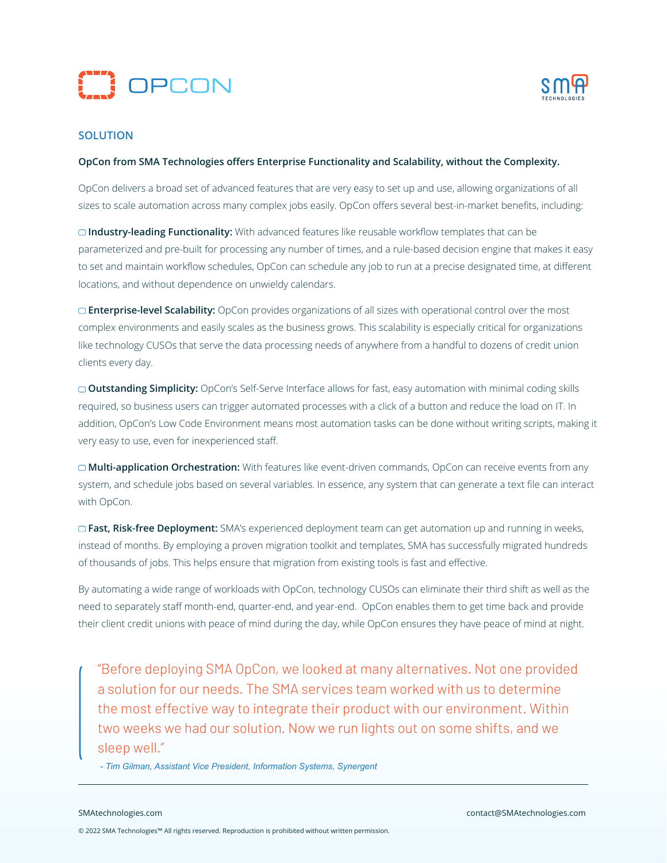



# **SOLUTION**

### **OpCon from SMA Technologies offers Enterprise Functionality and Scalability, without the Complexity.**

OpCon delivers a broad set of advanced features that are very easy to set up and use, allowing organizations of all sizes to scale automation across many complex jobs easily. OpCon offers several best-in-market benefits, including:

**Industry-leading Functionality:** With advanced features like reusable workflow templates that can be parameterized and pre-built for processing any number of times, and a rule-based decision engine that makes it easy to set and maintain workflow schedules, OpCon can schedule any job to run at a precise designated time, at different locations, and without dependence on unwieldy calendars.

**Enterprise-level Scalability:** OpCon provides organizations of all sizes with operational control over the most complex environments and easily scales as the business grows. This scalability is especially critical for organizations like technology CUSOs that serve the data processing needs of anywhere from a handful to dozens of credit union clients every day.

**Outstanding Simplicity:** OpCon's Self-Serve Interface allows for fast, easy automation with minimal coding skills required, so business users can trigger automated processes with a click of a button and reduce the load on IT. In addition, OpCon's Low Code Environment means most automation tasks can be done without writing scripts, making it very easy to use, even for inexperienced staff.

**Multi-application Orchestration:** With features like event-driven commands, OpCon can receive events from any system, and schedule jobs based on several variables. In essence, any system that can generate a text file can interact with OpCon.

**Fast, Risk-free Deployment:** SMA's experienced deployment team can get automation up and running in weeks, instead of months. By employing a proven migration toolkit and templates, SMA has successfully migrated hundreds of thousands of jobs. This helps ensure that migration from existing tools is fast and effective.

By automating a wide range of workloads with OpCon, technology CUSOs can eliminate their third shift as well as the need to separately staff month-end, quarter-end, and year-end. OpCon enables them to get time back and provide their client credit unions with peace of mind during the day, while OpCon ensures they have peace of mind at night.

"Before deploying SMA OpCon, we looked at many alternatives. Not one provided a solution for our needs. The SMA services team worked with us to determine the most effective way to integrate their product with our environment. Within two weeks we had our solution. Now we run lights out on some shifts, and we sleep well."

 *- Tim Gilman, Assistant Vice President, Information Systems, Synergent*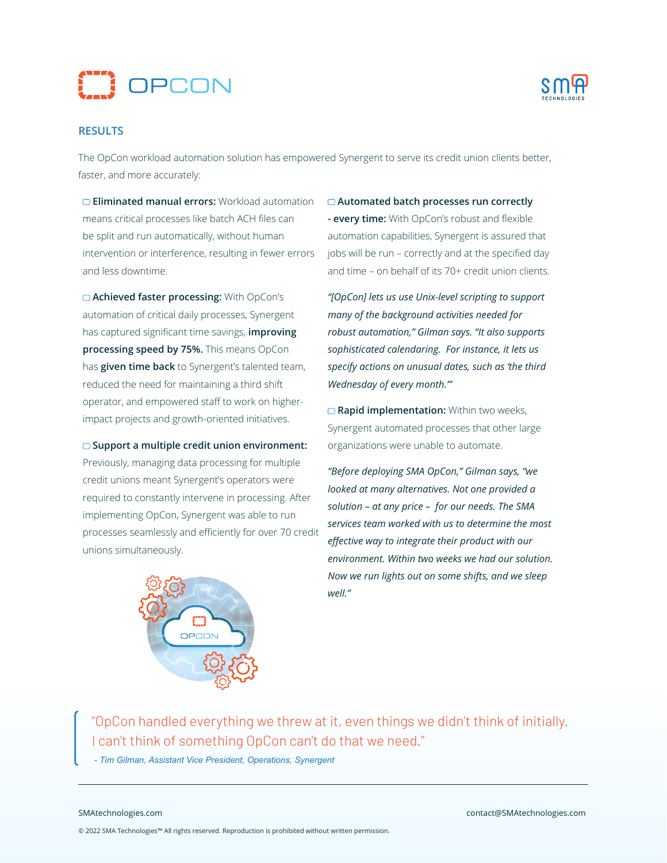



## **RESULTS**

The OpCon workload automation solution has empowered Synergent to serve its credit union clients better, faster, and more accurately:

**Eliminated manual errors:** Workload automation means critical processes like batch ACH files can be split and run automatically, without human intervention or interference, resulting in fewer errors and less downtime.

**Achieved faster processing:** With OpCon's automation of critical daily processes, Synergent has captured significant time savings, **improving processing speed by 75%.** This means OpCon has **given time back** to Synergent's talented team, reduced the need for maintaining a third shift operator, and empowered staff to work on higherimpact projects and growth-oriented initiatives.

**Support a multiple credit union environment:**  Previously, managing data processing for multiple credit unions meant Synergent's operators were required to constantly intervene in processing. After implementing OpCon, Synergent was able to run processes seamlessly and efficiently for over 70 credit unions simultaneously.



**Automated batch processes run correctly - every time:** With OpCon's robust and flexible automation capabilities, Synergent is assured that jobs will be run – correctly and at the specified day and time – on behalf of its 70+ credit union clients.

*"[OpCon] lets us use Unix-level scripting to support many of the background activities needed for robust automation," Gilman says. "It also supports sophisticated calendaring. For instance, it lets us specify actions on unusual dates, such as 'the third Wednesday of every month.'"*

□ Rapid implementation: Within two weeks, Synergent automated processes that other large organizations were unable to automate.

*"Before deploying SMA OpCon," Gilman says, "we looked at many alternatives. Not one provided a solution – at any price – for our needs. The SMA services team worked with us to determine the most effective way to integrate their product with our environment. Within two weeks we had our solution. Now we run lights out on some shifts, and we sleep well."*

"OpCon handled everything we threw at it, even things we didn't think of initially. I can't think of something OpCon can't do that we need."

 *- Tim Gilman, Assistant Vice President, Operations, Synergent*